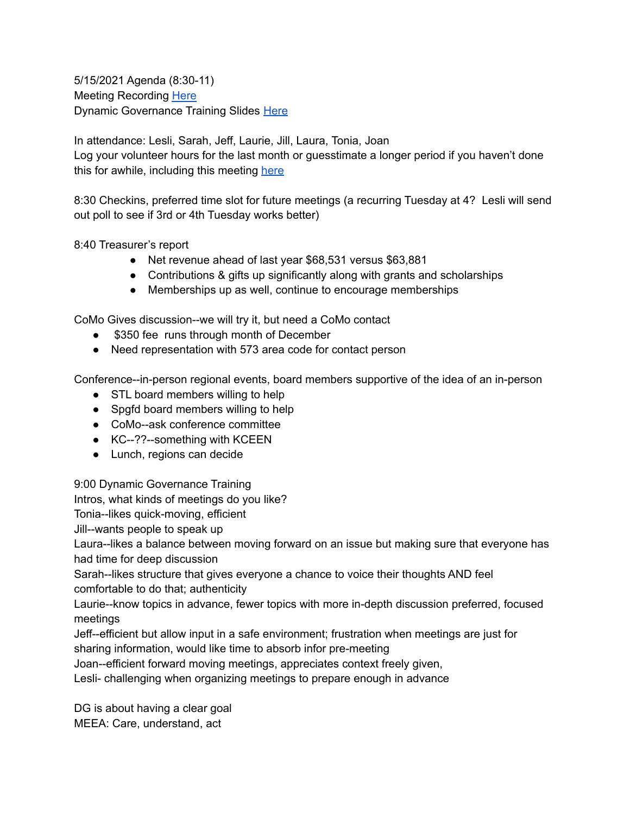5/15/2021 Agenda (8:30-11) Meeting Recording [Here](https://youtu.be/EiW-PIKf5MA) Dynamic Governance Training Slides [Here](https://docs.google.com/presentation/d/1xrhtET-D9VndzmLpXdOEroI2r5awixij8rGK3h6I4mU/edit?usp=sharing)

In attendance: Lesli, Sarah, Jeff, Laurie, Jill, Laura, Tonia, Joan Log your volunteer hours for the last month or guesstimate a longer period if you haven't done this for awhile, including this meeting [here](https://docs.google.com/forms/d/e/1FAIpQLSeyGs3BdG_sxFAGpjjXzRryj-8Os6pPqOvRnoMgrYpaisbrkw/viewform?usp=sf_link)

8:30 Checkins, preferred time slot for future meetings (a recurring Tuesday at 4? Lesli will send out poll to see if 3rd or 4th Tuesday works better)

8:40 Treasurer's report

- Net revenue ahead of last year \$68,531 versus \$63,881
- Contributions & gifts up significantly along with grants and scholarships
- Memberships up as well, continue to encourage memberships

CoMo Gives discussion--we will try it, but need a CoMo contact

- \$350 fee runs through month of December
- Need representation with 573 area code for contact person

Conference--in-person regional events, board members supportive of the idea of an in-person

- STL board members willing to help
- Spgfd board members willing to help
- CoMo--ask conference committee
- KC--??--something with KCEEN
- Lunch, regions can decide

9:00 Dynamic Governance Training

Intros, what kinds of meetings do you like?

Tonia--likes quick-moving, efficient

Jill--wants people to speak up

Laura--likes a balance between moving forward on an issue but making sure that everyone has had time for deep discussion

Sarah--likes structure that gives everyone a chance to voice their thoughts AND feel comfortable to do that; authenticity

Laurie--know topics in advance, fewer topics with more in-depth discussion preferred, focused meetings

Jeff--efficient but allow input in a safe environment; frustration when meetings are just for sharing information, would like time to absorb infor pre-meeting

Joan--efficient forward moving meetings, appreciates context freely given,

Lesli- challenging when organizing meetings to prepare enough in advance

DG is about having a clear goal MEEA: Care, understand, act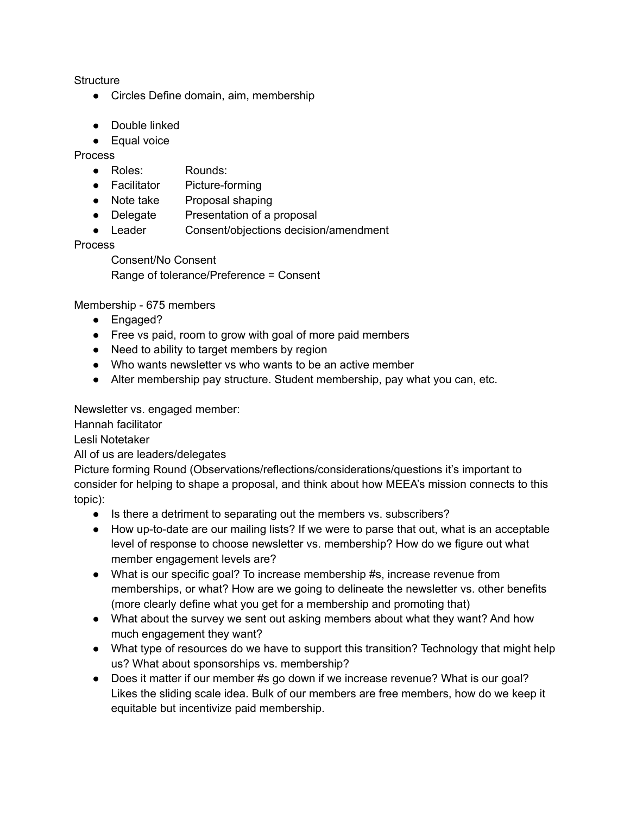**Structure** 

- Circles Define domain, aim, membership
- Double linked
- Equal voice

Process

- Roles: Rounds:
- Facilitator Picture-forming
- Note take Proposal shaping
- Delegate Presentation of a proposal
- Leader Consent/objections decision/amendment

Process

Consent/No Consent Range of tolerance/Preference = Consent

Membership - 675 members

- Engaged?
- Free vs paid, room to grow with goal of more paid members
- Need to ability to target members by region
- Who wants newsletter vs who wants to be an active member
- Alter membership pay structure. Student membership, pay what you can, etc.

Newsletter vs. engaged member:

Hannah facilitator

Lesli Notetaker

All of us are leaders/delegates

Picture forming Round (Observations/reflections/considerations/questions it's important to consider for helping to shape a proposal, and think about how MEEA's mission connects to this topic):

- Is there a detriment to separating out the members vs. subscribers?
- How up-to-date are our mailing lists? If we were to parse that out, what is an acceptable level of response to choose newsletter vs. membership? How do we figure out what member engagement levels are?
- What is our specific goal? To increase membership #s, increase revenue from memberships, or what? How are we going to delineate the newsletter vs. other benefits (more clearly define what you get for a membership and promoting that)
- What about the survey we sent out asking members about what they want? And how much engagement they want?
- What type of resources do we have to support this transition? Technology that might help us? What about sponsorships vs. membership?
- Does it matter if our member #s go down if we increase revenue? What is our goal? Likes the sliding scale idea. Bulk of our members are free members, how do we keep it equitable but incentivize paid membership.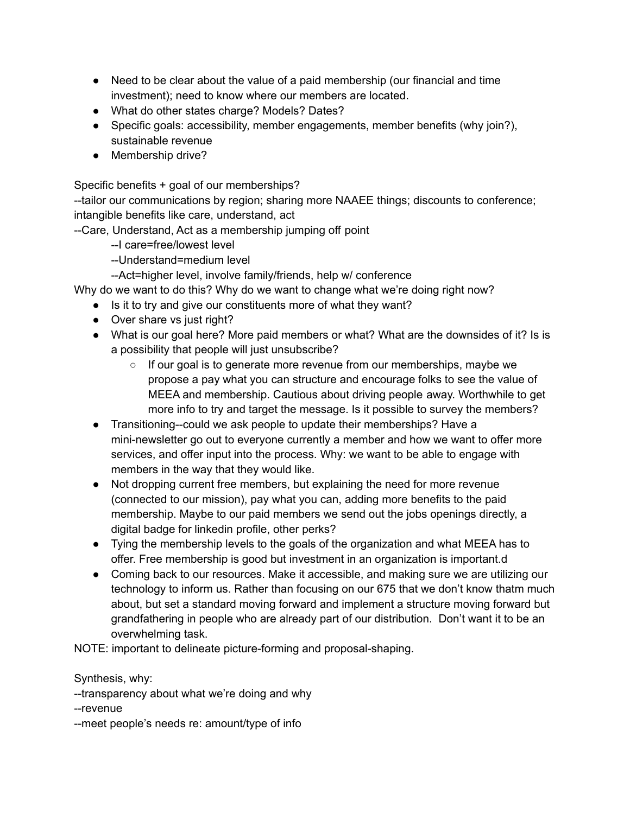- Need to be clear about the value of a paid membership (our financial and time investment); need to know where our members are located.
- What do other states charge? Models? Dates?
- Specific goals: accessibility, member engagements, member benefits (why join?), sustainable revenue
- Membership drive?

Specific benefits + goal of our memberships?

--tailor our communications by region; sharing more NAAEE things; discounts to conference; intangible benefits like care, understand, act

--Care, Understand, Act as a membership jumping off point

--I care=free/lowest level

--Understand=medium level

--Act=higher level, involve family/friends, help w/ conference

Why do we want to do this? Why do we want to change what we're doing right now?

- Is it to try and give our constituents more of what they want?
- Over share vs just right?
- What is our goal here? More paid members or what? What are the downsides of it? Is is a possibility that people will just unsubscribe?
	- $\circ$  If our goal is to generate more revenue from our memberships, maybe we propose a pay what you can structure and encourage folks to see the value of MEEA and membership. Cautious about driving people away. Worthwhile to get more info to try and target the message. Is it possible to survey the members?
- Transitioning--could we ask people to update their memberships? Have a mini-newsletter go out to everyone currently a member and how we want to offer more services, and offer input into the process. Why: we want to be able to engage with members in the way that they would like.
- Not dropping current free members, but explaining the need for more revenue (connected to our mission), pay what you can, adding more benefits to the paid membership. Maybe to our paid members we send out the jobs openings directly, a digital badge for linkedin profile, other perks?
- Tying the membership levels to the goals of the organization and what MEEA has to offer. Free membership is good but investment in an organization is important.d
- Coming back to our resources. Make it accessible, and making sure we are utilizing our technology to inform us. Rather than focusing on our 675 that we don't know thatm much about, but set a standard moving forward and implement a structure moving forward but grandfathering in people who are already part of our distribution. Don't want it to be an overwhelming task.

NOTE: important to delineate picture-forming and proposal-shaping.

Synthesis, why:

--transparency about what we're doing and why

--revenue

--meet people's needs re: amount/type of info